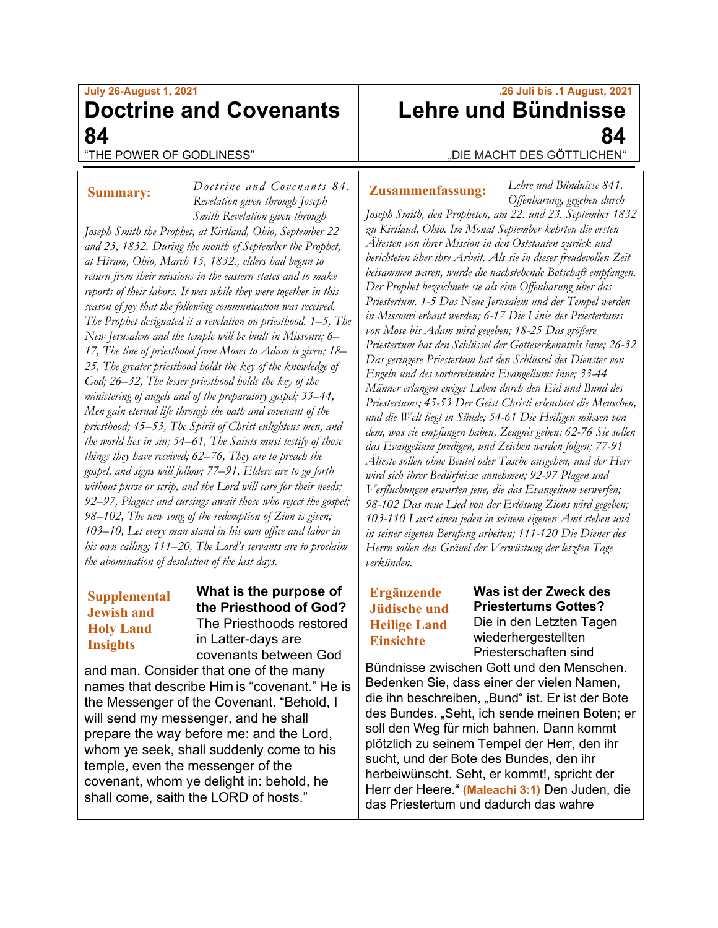## **July 26-August 1, 2021 Doctrine and Covenants 84**

*Doctrine and Covenants 84.*

### "THE POWER OF GODLINESS"

## **Summary:**

*Revelation given through Joseph Smith Revelation given through Joseph Smith the Prophet, at Kirtland, Ohio, September 22 and 23, 1832. During the month of September the Prophet, at Hiram, Ohio, March 15, 1832., elders had begun to return from their missions in the eastern states and to make reports of their labors. It was while they were together in this season of joy that the following communication was received. The Prophet designated it a revelation on priesthood. 1–5, The New Jerusalem and the temple will be built in Missouri; 6– 17, The line of priesthood from Moses to Adam is given; 18– 25, The greater priesthood holds the key of the knowledge of God; 26–32, The lesser priesthood holds the key of the ministering of angels and of the preparatory gospel; 33–44, Men gain eternal life through the oath and covenant of the priesthood; 45–53, The Spirit of Christ enlightens men, and the world lies in sin; 54–61, The Saints must testify of those things they have received; 62–76, They are to preach the gospel, and signs will follow; 77–91, Elders are to go forth without purse or scrip, and the Lord will care for their needs; 92–97, Plagues and cursings await those who reject the gospel; 98–102, The new song of the redemption of Zion is given; 103–10, Let every man stand in his own office and labor in his own calling; 111–20, The Lord's servants are to proclaim the abomination of desolation of the last days.*

## **Supplemental Jewish and Holy Land Insights**

**What is the purpose of the Priesthood of God?** The Priesthoods restored in Latter-days are covenants between God

and man. Consider that one of the many names that describe Him is "covenant." He is the Messenger of the Covenant. "Behold, I will send my messenger, and he shall prepare the way before me: and the Lord, whom ye seek, shall suddenly come to his temple, even the messenger of the covenant, whom ye delight in: behold, he shall come, saith the LORD of hosts."

# **.26 Juli bis .1 August, 2021 Lehre und Bündnisse 84**

"DIE MACHT DES GÖTTLICHEN"

## **Zusammenfassung:**

*Lehre und Bündnisse 841. Offenbarung, gegeben durch* 

*Joseph Smith, den Propheten, am 22. und 23. September 1832 zu Kirtland, Ohio. Im Monat September kehrten die ersten Ältesten von ihrer Mission in den Oststaaten zurück und berichteten über ihre Arbeit. Als sie in dieser freudevollen Zeit beisammen waren, wurde die nachstehende Botschaft empfangen. Der Prophet bezeichnete sie als eine Offenbarung über das Priestertum. 1-5 Das Neue Jerusalem und der Tempel werden in Missouri erbaut werden; 6-17 Die Linie des Priestertums von Mose bis Adam wird gegeben; 18-25 Das größere Priestertum hat den Schlüssel der Gotteserkenntnis inne; 26-32 Das geringere Priestertum hat den Schlüssel des Dienstes von Engeln und des vorbereitenden Evangeliums inne; 33-44 Männer erlangen ewiges Leben durch den Eid und Bund des Priestertums; 45-53 Der Geist Christi erleuchtet die Menschen, und die Welt liegt in Sünde; 54-61 Die Heiligen müssen von dem, was sie empfangen haben, Zeugnis geben; 62-76 Sie sollen das Evangelium predigen, und Zeichen werden folgen; 77-91 Älteste sollen ohne Beutel oder Tasche ausgehen, und der Herr wird sich ihrer Bedürfnisse annehmen; 92-97 Plagen und Verfluchungen erwarten jene, die das Evangelium verwerfen; 98-102 Das neue Lied von der Erlösung Zions wird gegeben; 103-110 Lasst einen jeden in seinem eigenen Amt stehen und in seiner eigenen Berufung arbeiten; 111-120 Die Diener des Herrn sollen den Gräuel der Verwüstung der letzten Tage verkünden.*

## **Ergänzende Jüdische und Heilige Land Einsichte**

**Was ist der Zweck des Priestertums Gottes?** Die in den Letzten Tagen wiederhergestellten

Priesterschaften sind Bündnisse zwischen Gott und den Menschen. Bedenken Sie, dass einer der vielen Namen, die ihn beschreiben, "Bund" ist. Er ist der Bote des Bundes. "Seht, ich sende meinen Boten; er soll den Weg für mich bahnen. Dann kommt plötzlich zu seinem Tempel der Herr, den ihr sucht, und der Bote des Bundes, den ihr herbeiwünscht. Seht, er kommt!, spricht der Herr der Heere." **(Maleachi 3:1)** Den Juden, die das Priestertum und dadurch das wahre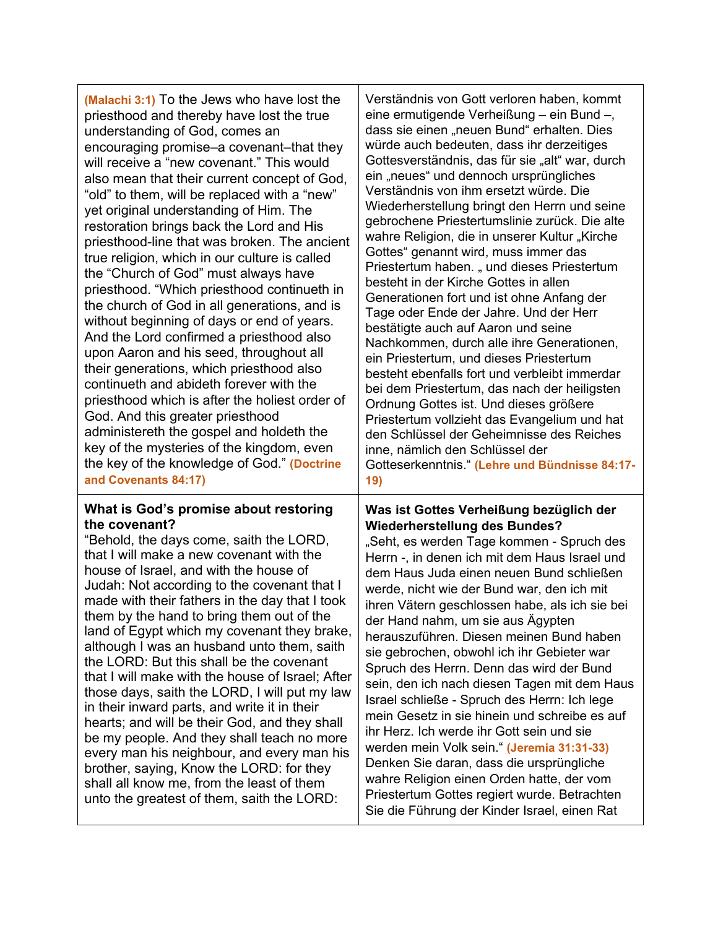| (Malachi 3:1) To the Jews who have lost the<br>priesthood and thereby have lost the true<br>understanding of God, comes an<br>encouraging promise–a covenant–that they<br>will receive a "new covenant." This would<br>also mean that their current concept of God,<br>"old" to them, will be replaced with a "new"<br>yet original understanding of Him. The<br>restoration brings back the Lord and His<br>priesthood-line that was broken. The ancient<br>true religion, which in our culture is called<br>the "Church of God" must always have<br>priesthood. "Which priesthood continueth in<br>the church of God in all generations, and is<br>without beginning of days or end of years.<br>And the Lord confirmed a priesthood also<br>upon Aaron and his seed, throughout all<br>their generations, which priesthood also<br>continueth and abideth forever with the<br>priesthood which is after the holiest order of<br>God. And this greater priesthood<br>administereth the gospel and holdeth the<br>key of the mysteries of the kingdom, even<br>the key of the knowledge of God." (Doctrine<br>and Covenants 84:17) | Verständnis von Gott verloren haben, kommt<br>eine ermutigende Verheißung - ein Bund -,<br>dass sie einen "neuen Bund" erhalten. Dies<br>würde auch bedeuten, dass ihr derzeitiges<br>Gottesverständnis, das für sie "alt" war, durch<br>ein "neues" und dennoch ursprüngliches<br>Verständnis von ihm ersetzt würde. Die<br>Wiederherstellung bringt den Herrn und seine<br>gebrochene Priestertumslinie zurück. Die alte<br>wahre Religion, die in unserer Kultur "Kirche<br>Gottes" genannt wird, muss immer das<br>Priestertum haben. "und dieses Priestertum<br>besteht in der Kirche Gottes in allen<br>Generationen fort und ist ohne Anfang der<br>Tage oder Ende der Jahre. Und der Herr<br>bestätigte auch auf Aaron und seine<br>Nachkommen, durch alle ihre Generationen,<br>ein Priestertum, und dieses Priestertum<br>besteht ebenfalls fort und verbleibt immerdar<br>bei dem Priestertum, das nach der heiligsten<br>Ordnung Gottes ist. Und dieses größere<br>Priestertum vollzieht das Evangelium und hat<br>den Schlüssel der Geheimnisse des Reiches<br>inne, nämlich den Schlüssel der<br>Gotteserkenntnis." (Lehre und Bündnisse 84:17-<br>19) |
|-------------------------------------------------------------------------------------------------------------------------------------------------------------------------------------------------------------------------------------------------------------------------------------------------------------------------------------------------------------------------------------------------------------------------------------------------------------------------------------------------------------------------------------------------------------------------------------------------------------------------------------------------------------------------------------------------------------------------------------------------------------------------------------------------------------------------------------------------------------------------------------------------------------------------------------------------------------------------------------------------------------------------------------------------------------------------------------------------------------------------------------|----------------------------------------------------------------------------------------------------------------------------------------------------------------------------------------------------------------------------------------------------------------------------------------------------------------------------------------------------------------------------------------------------------------------------------------------------------------------------------------------------------------------------------------------------------------------------------------------------------------------------------------------------------------------------------------------------------------------------------------------------------------------------------------------------------------------------------------------------------------------------------------------------------------------------------------------------------------------------------------------------------------------------------------------------------------------------------------------------------------------------------------------------------------------|
| What is God's promise about restoring                                                                                                                                                                                                                                                                                                                                                                                                                                                                                                                                                                                                                                                                                                                                                                                                                                                                                                                                                                                                                                                                                               | Was ist Gottes Verheißung bezüglich der                                                                                                                                                                                                                                                                                                                                                                                                                                                                                                                                                                                                                                                                                                                                                                                                                                                                                                                                                                                                                                                                                                                              |
| the covenant?                                                                                                                                                                                                                                                                                                                                                                                                                                                                                                                                                                                                                                                                                                                                                                                                                                                                                                                                                                                                                                                                                                                       | <b>Wiederherstellung des Bundes?</b>                                                                                                                                                                                                                                                                                                                                                                                                                                                                                                                                                                                                                                                                                                                                                                                                                                                                                                                                                                                                                                                                                                                                 |
| "Behold, the days come, saith the LORD,                                                                                                                                                                                                                                                                                                                                                                                                                                                                                                                                                                                                                                                                                                                                                                                                                                                                                                                                                                                                                                                                                             | "Seht, es werden Tage kommen - Spruch des                                                                                                                                                                                                                                                                                                                                                                                                                                                                                                                                                                                                                                                                                                                                                                                                                                                                                                                                                                                                                                                                                                                            |
| that I will make a new covenant with the                                                                                                                                                                                                                                                                                                                                                                                                                                                                                                                                                                                                                                                                                                                                                                                                                                                                                                                                                                                                                                                                                            | Herrn -, in denen ich mit dem Haus Israel und                                                                                                                                                                                                                                                                                                                                                                                                                                                                                                                                                                                                                                                                                                                                                                                                                                                                                                                                                                                                                                                                                                                        |
| house of Israel, and with the house of                                                                                                                                                                                                                                                                                                                                                                                                                                                                                                                                                                                                                                                                                                                                                                                                                                                                                                                                                                                                                                                                                              | dem Haus Juda einen neuen Bund schließen                                                                                                                                                                                                                                                                                                                                                                                                                                                                                                                                                                                                                                                                                                                                                                                                                                                                                                                                                                                                                                                                                                                             |
| Judah: Not according to the covenant that I                                                                                                                                                                                                                                                                                                                                                                                                                                                                                                                                                                                                                                                                                                                                                                                                                                                                                                                                                                                                                                                                                         | werde, nicht wie der Bund war, den ich mit                                                                                                                                                                                                                                                                                                                                                                                                                                                                                                                                                                                                                                                                                                                                                                                                                                                                                                                                                                                                                                                                                                                           |
| made with their fathers in the day that I took                                                                                                                                                                                                                                                                                                                                                                                                                                                                                                                                                                                                                                                                                                                                                                                                                                                                                                                                                                                                                                                                                      | ihren Vätern geschlossen habe, als ich sie bei                                                                                                                                                                                                                                                                                                                                                                                                                                                                                                                                                                                                                                                                                                                                                                                                                                                                                                                                                                                                                                                                                                                       |
| them by the hand to bring them out of the                                                                                                                                                                                                                                                                                                                                                                                                                                                                                                                                                                                                                                                                                                                                                                                                                                                                                                                                                                                                                                                                                           | der Hand nahm, um sie aus Ägypten                                                                                                                                                                                                                                                                                                                                                                                                                                                                                                                                                                                                                                                                                                                                                                                                                                                                                                                                                                                                                                                                                                                                    |
| land of Egypt which my covenant they brake,                                                                                                                                                                                                                                                                                                                                                                                                                                                                                                                                                                                                                                                                                                                                                                                                                                                                                                                                                                                                                                                                                         | herauszuführen. Diesen meinen Bund haben                                                                                                                                                                                                                                                                                                                                                                                                                                                                                                                                                                                                                                                                                                                                                                                                                                                                                                                                                                                                                                                                                                                             |
| although I was an husband unto them, saith                                                                                                                                                                                                                                                                                                                                                                                                                                                                                                                                                                                                                                                                                                                                                                                                                                                                                                                                                                                                                                                                                          | sie gebrochen, obwohl ich ihr Gebieter war                                                                                                                                                                                                                                                                                                                                                                                                                                                                                                                                                                                                                                                                                                                                                                                                                                                                                                                                                                                                                                                                                                                           |
| the LORD: But this shall be the covenant                                                                                                                                                                                                                                                                                                                                                                                                                                                                                                                                                                                                                                                                                                                                                                                                                                                                                                                                                                                                                                                                                            | Spruch des Herrn. Denn das wird der Bund                                                                                                                                                                                                                                                                                                                                                                                                                                                                                                                                                                                                                                                                                                                                                                                                                                                                                                                                                                                                                                                                                                                             |
| that I will make with the house of Israel; After                                                                                                                                                                                                                                                                                                                                                                                                                                                                                                                                                                                                                                                                                                                                                                                                                                                                                                                                                                                                                                                                                    | sein, den ich nach diesen Tagen mit dem Haus                                                                                                                                                                                                                                                                                                                                                                                                                                                                                                                                                                                                                                                                                                                                                                                                                                                                                                                                                                                                                                                                                                                         |
| those days, saith the LORD, I will put my law                                                                                                                                                                                                                                                                                                                                                                                                                                                                                                                                                                                                                                                                                                                                                                                                                                                                                                                                                                                                                                                                                       | Israel schließe - Spruch des Herrn: Ich lege                                                                                                                                                                                                                                                                                                                                                                                                                                                                                                                                                                                                                                                                                                                                                                                                                                                                                                                                                                                                                                                                                                                         |
| in their inward parts, and write it in their                                                                                                                                                                                                                                                                                                                                                                                                                                                                                                                                                                                                                                                                                                                                                                                                                                                                                                                                                                                                                                                                                        | mein Gesetz in sie hinein und schreibe es auf                                                                                                                                                                                                                                                                                                                                                                                                                                                                                                                                                                                                                                                                                                                                                                                                                                                                                                                                                                                                                                                                                                                        |
| hearts; and will be their God, and they shall                                                                                                                                                                                                                                                                                                                                                                                                                                                                                                                                                                                                                                                                                                                                                                                                                                                                                                                                                                                                                                                                                       | ihr Herz. Ich werde ihr Gott sein und sie                                                                                                                                                                                                                                                                                                                                                                                                                                                                                                                                                                                                                                                                                                                                                                                                                                                                                                                                                                                                                                                                                                                            |
| be my people. And they shall teach no more                                                                                                                                                                                                                                                                                                                                                                                                                                                                                                                                                                                                                                                                                                                                                                                                                                                                                                                                                                                                                                                                                          | werden mein Volk sein." (Jeremia 31:31-33)                                                                                                                                                                                                                                                                                                                                                                                                                                                                                                                                                                                                                                                                                                                                                                                                                                                                                                                                                                                                                                                                                                                           |
| every man his neighbour, and every man his                                                                                                                                                                                                                                                                                                                                                                                                                                                                                                                                                                                                                                                                                                                                                                                                                                                                                                                                                                                                                                                                                          | Denken Sie daran, dass die ursprüngliche                                                                                                                                                                                                                                                                                                                                                                                                                                                                                                                                                                                                                                                                                                                                                                                                                                                                                                                                                                                                                                                                                                                             |
| brother, saying, Know the LORD: for they                                                                                                                                                                                                                                                                                                                                                                                                                                                                                                                                                                                                                                                                                                                                                                                                                                                                                                                                                                                                                                                                                            | wahre Religion einen Orden hatte, der vom                                                                                                                                                                                                                                                                                                                                                                                                                                                                                                                                                                                                                                                                                                                                                                                                                                                                                                                                                                                                                                                                                                                            |
| shall all know me, from the least of them                                                                                                                                                                                                                                                                                                                                                                                                                                                                                                                                                                                                                                                                                                                                                                                                                                                                                                                                                                                                                                                                                           | Priestertum Gottes regiert wurde. Betrachten                                                                                                                                                                                                                                                                                                                                                                                                                                                                                                                                                                                                                                                                                                                                                                                                                                                                                                                                                                                                                                                                                                                         |
| unto the greatest of them, saith the LORD:                                                                                                                                                                                                                                                                                                                                                                                                                                                                                                                                                                                                                                                                                                                                                                                                                                                                                                                                                                                                                                                                                          | Sie die Führung der Kinder Israel, einen Rat                                                                                                                                                                                                                                                                                                                                                                                                                                                                                                                                                                                                                                                                                                                                                                                                                                                                                                                                                                                                                                                                                                                         |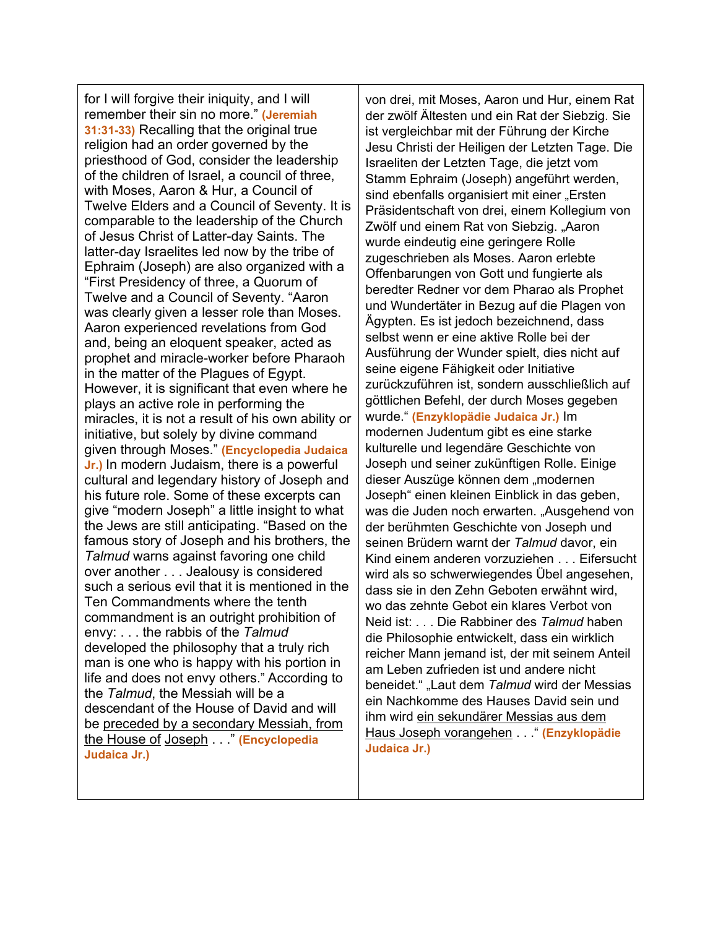for I will forgive their iniquity, and I will remember their sin no more." **(Jeremiah 31:31-33)** Recalling that the original true religion had an order governed by the priesthood of God, consider the leadership of the children of Israel, a council of three, with Moses, Aaron & Hur, a Council of Twelve Elders and a Council of Seventy. It is comparable to the leadership of the Church of Jesus Christ of Latter-day Saints. The latter-day Israelites led now by the tribe of Ephraim (Joseph) are also organized with a "First Presidency of three, a Quorum of Twelve and a Council of Seventy. "Aaron was clearly given a lesser role than Moses. Aaron experienced revelations from God and, being an eloquent speaker, acted as prophet and miracle-worker before Pharaoh in the matter of the Plagues of Egypt. However, it is significant that even where he plays an active role in performing the miracles, it is not a result of his own ability or initiative, but solely by divine command given through Moses." **(Encyclopedia Judaica Jr.)** In modern Judaism, there is a powerful cultural and legendary history of Joseph and his future role. Some of these excerpts can give "modern Joseph" a little insight to what the Jews are still anticipating. "Based on the famous story of Joseph and his brothers, the *Talmud* warns against favoring one child over another . . . Jealousy is considered such a serious evil that it is mentioned in the Ten Commandments where the tenth commandment is an outright prohibition of envy: . . . the rabbis of the *Talmud* developed the philosophy that a truly rich man is one who is happy with his portion in life and does not envy others." According to the *Talmud*, the Messiah will be a descendant of the House of David and will be preceded by a secondary Messiah, from the House of Joseph . . ." **(Encyclopedia Judaica Jr.)**

von drei, mit Moses, Aaron und Hur, einem Rat der zwölf Ältesten und ein Rat der Siebzig. Sie ist vergleichbar mit der Führung der Kirche Jesu Christi der Heiligen der Letzten Tage. Die Israeliten der Letzten Tage, die jetzt vom Stamm Ephraim (Joseph) angeführt werden, sind ebenfalls organisiert mit einer "Ersten Präsidentschaft von drei, einem Kollegium von Zwölf und einem Rat von Siebzig. "Aaron wurde eindeutig eine geringere Rolle zugeschrieben als Moses. Aaron erlebte Offenbarungen von Gott und fungierte als beredter Redner vor dem Pharao als Prophet und Wundertäter in Bezug auf die Plagen von Ägypten. Es ist jedoch bezeichnend, dass selbst wenn er eine aktive Rolle bei der Ausführung der Wunder spielt, dies nicht auf seine eigene Fähigkeit oder Initiative zurückzuführen ist, sondern ausschließlich auf göttlichen Befehl, der durch Moses gegeben wurde." **(Enzyklopädie Judaica Jr.)** Im modernen Judentum gibt es eine starke kulturelle und legendäre Geschichte von Joseph und seiner zukünftigen Rolle. Einige dieser Auszüge können dem "modernen Joseph" einen kleinen Einblick in das geben, was die Juden noch erwarten. "Ausgehend von der berühmten Geschichte von Joseph und seinen Brüdern warnt der *Talmud* davor, ein Kind einem anderen vorzuziehen . . . Eifersucht wird als so schwerwiegendes Übel angesehen, dass sie in den Zehn Geboten erwähnt wird, wo das zehnte Gebot ein klares Verbot von Neid ist: . . . Die Rabbiner des *Talmud* haben die Philosophie entwickelt, dass ein wirklich reicher Mann jemand ist, der mit seinem Anteil am Leben zufrieden ist und andere nicht beneidet." "Laut dem *Talmud* wird der Messias ein Nachkomme des Hauses David sein und ihm wird ein sekundärer Messias aus dem Haus Joseph vorangehen . . ." **(Enzyklopädie Judaica Jr.)**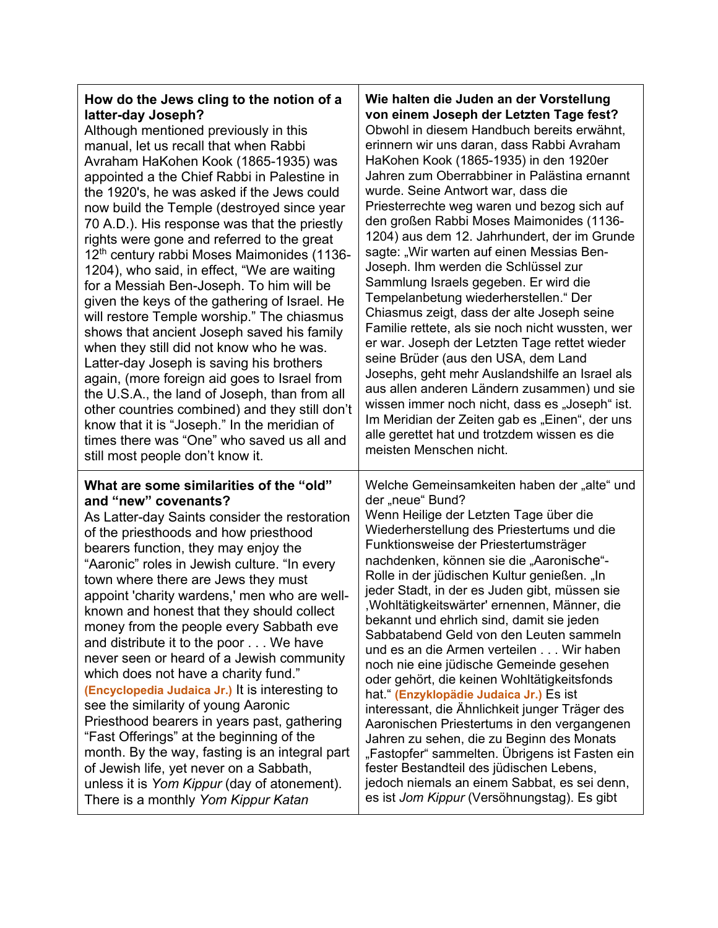## **How do the Jews cling to the notion of a latter-day Joseph?**

| latter-day Joseph?                                                                                                                                                                                                                                                                                                                                                                                                                                                                                                                                                                                                                                                                                                                                                                                                                                                                              | von einem Joseph der Letzten Tage fest?                                                                                                                                                                                                                                                                                                                                                                                                                                                                                                                                                                                                                                                                                                                                                                                                                                                                                                                           |
|-------------------------------------------------------------------------------------------------------------------------------------------------------------------------------------------------------------------------------------------------------------------------------------------------------------------------------------------------------------------------------------------------------------------------------------------------------------------------------------------------------------------------------------------------------------------------------------------------------------------------------------------------------------------------------------------------------------------------------------------------------------------------------------------------------------------------------------------------------------------------------------------------|-------------------------------------------------------------------------------------------------------------------------------------------------------------------------------------------------------------------------------------------------------------------------------------------------------------------------------------------------------------------------------------------------------------------------------------------------------------------------------------------------------------------------------------------------------------------------------------------------------------------------------------------------------------------------------------------------------------------------------------------------------------------------------------------------------------------------------------------------------------------------------------------------------------------------------------------------------------------|
| Although mentioned previously in this                                                                                                                                                                                                                                                                                                                                                                                                                                                                                                                                                                                                                                                                                                                                                                                                                                                           | Obwohl in diesem Handbuch bereits erwähnt,                                                                                                                                                                                                                                                                                                                                                                                                                                                                                                                                                                                                                                                                                                                                                                                                                                                                                                                        |
| manual, let us recall that when Rabbi                                                                                                                                                                                                                                                                                                                                                                                                                                                                                                                                                                                                                                                                                                                                                                                                                                                           | erinnern wir uns daran, dass Rabbi Avraham                                                                                                                                                                                                                                                                                                                                                                                                                                                                                                                                                                                                                                                                                                                                                                                                                                                                                                                        |
| Avraham HaKohen Kook (1865-1935) was                                                                                                                                                                                                                                                                                                                                                                                                                                                                                                                                                                                                                                                                                                                                                                                                                                                            | HaKohen Kook (1865-1935) in den 1920er                                                                                                                                                                                                                                                                                                                                                                                                                                                                                                                                                                                                                                                                                                                                                                                                                                                                                                                            |
| appointed a the Chief Rabbi in Palestine in                                                                                                                                                                                                                                                                                                                                                                                                                                                                                                                                                                                                                                                                                                                                                                                                                                                     | Jahren zum Oberrabbiner in Palästina ernannt                                                                                                                                                                                                                                                                                                                                                                                                                                                                                                                                                                                                                                                                                                                                                                                                                                                                                                                      |
| the 1920's, he was asked if the Jews could                                                                                                                                                                                                                                                                                                                                                                                                                                                                                                                                                                                                                                                                                                                                                                                                                                                      | wurde. Seine Antwort war, dass die                                                                                                                                                                                                                                                                                                                                                                                                                                                                                                                                                                                                                                                                                                                                                                                                                                                                                                                                |
| now build the Temple (destroyed since year                                                                                                                                                                                                                                                                                                                                                                                                                                                                                                                                                                                                                                                                                                                                                                                                                                                      | Priesterrechte weg waren und bezog sich auf                                                                                                                                                                                                                                                                                                                                                                                                                                                                                                                                                                                                                                                                                                                                                                                                                                                                                                                       |
| 70 A.D.). His response was that the priestly                                                                                                                                                                                                                                                                                                                                                                                                                                                                                                                                                                                                                                                                                                                                                                                                                                                    | den großen Rabbi Moses Maimonides (1136-                                                                                                                                                                                                                                                                                                                                                                                                                                                                                                                                                                                                                                                                                                                                                                                                                                                                                                                          |
| rights were gone and referred to the great                                                                                                                                                                                                                                                                                                                                                                                                                                                                                                                                                                                                                                                                                                                                                                                                                                                      | 1204) aus dem 12. Jahrhundert, der im Grunde                                                                                                                                                                                                                                                                                                                                                                                                                                                                                                                                                                                                                                                                                                                                                                                                                                                                                                                      |
| 12 <sup>th</sup> century rabbi Moses Maimonides (1136-                                                                                                                                                                                                                                                                                                                                                                                                                                                                                                                                                                                                                                                                                                                                                                                                                                          | sagte: "Wir warten auf einen Messias Ben-                                                                                                                                                                                                                                                                                                                                                                                                                                                                                                                                                                                                                                                                                                                                                                                                                                                                                                                         |
| 1204), who said, in effect, "We are waiting                                                                                                                                                                                                                                                                                                                                                                                                                                                                                                                                                                                                                                                                                                                                                                                                                                                     | Joseph. Ihm werden die Schlüssel zur                                                                                                                                                                                                                                                                                                                                                                                                                                                                                                                                                                                                                                                                                                                                                                                                                                                                                                                              |
| for a Messiah Ben-Joseph. To him will be                                                                                                                                                                                                                                                                                                                                                                                                                                                                                                                                                                                                                                                                                                                                                                                                                                                        | Sammlung Israels gegeben. Er wird die                                                                                                                                                                                                                                                                                                                                                                                                                                                                                                                                                                                                                                                                                                                                                                                                                                                                                                                             |
| given the keys of the gathering of Israel. He                                                                                                                                                                                                                                                                                                                                                                                                                                                                                                                                                                                                                                                                                                                                                                                                                                                   | Tempelanbetung wiederherstellen." Der                                                                                                                                                                                                                                                                                                                                                                                                                                                                                                                                                                                                                                                                                                                                                                                                                                                                                                                             |
| will restore Temple worship." The chiasmus                                                                                                                                                                                                                                                                                                                                                                                                                                                                                                                                                                                                                                                                                                                                                                                                                                                      | Chiasmus zeigt, dass der alte Joseph seine                                                                                                                                                                                                                                                                                                                                                                                                                                                                                                                                                                                                                                                                                                                                                                                                                                                                                                                        |
| shows that ancient Joseph saved his family                                                                                                                                                                                                                                                                                                                                                                                                                                                                                                                                                                                                                                                                                                                                                                                                                                                      | Familie rettete, als sie noch nicht wussten, wer                                                                                                                                                                                                                                                                                                                                                                                                                                                                                                                                                                                                                                                                                                                                                                                                                                                                                                                  |
| when they still did not know who he was.                                                                                                                                                                                                                                                                                                                                                                                                                                                                                                                                                                                                                                                                                                                                                                                                                                                        | er war. Joseph der Letzten Tage rettet wieder                                                                                                                                                                                                                                                                                                                                                                                                                                                                                                                                                                                                                                                                                                                                                                                                                                                                                                                     |
| Latter-day Joseph is saving his brothers                                                                                                                                                                                                                                                                                                                                                                                                                                                                                                                                                                                                                                                                                                                                                                                                                                                        | seine Brüder (aus den USA, dem Land                                                                                                                                                                                                                                                                                                                                                                                                                                                                                                                                                                                                                                                                                                                                                                                                                                                                                                                               |
| again, (more foreign aid goes to Israel from                                                                                                                                                                                                                                                                                                                                                                                                                                                                                                                                                                                                                                                                                                                                                                                                                                                    | Josephs, geht mehr Auslandshilfe an Israel als                                                                                                                                                                                                                                                                                                                                                                                                                                                                                                                                                                                                                                                                                                                                                                                                                                                                                                                    |
| the U.S.A., the land of Joseph, than from all                                                                                                                                                                                                                                                                                                                                                                                                                                                                                                                                                                                                                                                                                                                                                                                                                                                   | aus allen anderen Ländern zusammen) und sie                                                                                                                                                                                                                                                                                                                                                                                                                                                                                                                                                                                                                                                                                                                                                                                                                                                                                                                       |
| other countries combined) and they still don't                                                                                                                                                                                                                                                                                                                                                                                                                                                                                                                                                                                                                                                                                                                                                                                                                                                  | wissen immer noch nicht, dass es "Joseph" ist.                                                                                                                                                                                                                                                                                                                                                                                                                                                                                                                                                                                                                                                                                                                                                                                                                                                                                                                    |
| know that it is "Joseph." In the meridian of                                                                                                                                                                                                                                                                                                                                                                                                                                                                                                                                                                                                                                                                                                                                                                                                                                                    | Im Meridian der Zeiten gab es "Einen", der uns                                                                                                                                                                                                                                                                                                                                                                                                                                                                                                                                                                                                                                                                                                                                                                                                                                                                                                                    |
| times there was "One" who saved us all and                                                                                                                                                                                                                                                                                                                                                                                                                                                                                                                                                                                                                                                                                                                                                                                                                                                      | alle gerettet hat und trotzdem wissen es die                                                                                                                                                                                                                                                                                                                                                                                                                                                                                                                                                                                                                                                                                                                                                                                                                                                                                                                      |
| still most people don't know it.                                                                                                                                                                                                                                                                                                                                                                                                                                                                                                                                                                                                                                                                                                                                                                                                                                                                | meisten Menschen nicht.                                                                                                                                                                                                                                                                                                                                                                                                                                                                                                                                                                                                                                                                                                                                                                                                                                                                                                                                           |
| What are some similarities of the "old"<br>and "new" covenants?<br>As Latter-day Saints consider the restoration<br>of the priesthoods and how priesthood<br>bearers function, they may enjoy the<br>"Aaronic" roles in Jewish culture. "In every<br>town where there are Jews they must<br>appoint 'charity wardens,' men who are well-<br>known and honest that they should collect<br>money from the people every Sabbath eve<br>and distribute it to the poor We have<br>never seen or heard of a Jewish community<br>which does not have a charity fund."<br>(Encyclopedia Judaica Jr.) It is interesting to<br>see the similarity of young Aaronic<br>Priesthood bearers in years past, gathering<br>"Fast Offerings" at the beginning of the<br>month. By the way, fasting is an integral part<br>of Jewish life, yet never on a Sabbath,<br>unless it is Yom Kippur (day of atonement). | Welche Gemeinsamkeiten haben der "alte" und<br>der "neue" Bund?<br>Wenn Heilige der Letzten Tage über die<br>Wiederherstellung des Priestertums und die<br>Funktionsweise der Priestertumsträger<br>nachdenken, können sie die "Aaronische"-<br>Rolle in der jüdischen Kultur genießen. "In<br>jeder Stadt, in der es Juden gibt, müssen sie<br>, Wohltätigkeitswärter' ernennen, Männer, die<br>bekannt und ehrlich sind, damit sie jeden<br>Sabbatabend Geld von den Leuten sammeln<br>und es an die Armen verteilen Wir haben<br>noch nie eine jüdische Gemeinde gesehen<br>oder gehört, die keinen Wohltätigkeitsfonds<br>hat." (Enzyklopädie Judaica Jr.) Es ist<br>interessant, die Ähnlichkeit junger Träger des<br>Aaronischen Priestertums in den vergangenen<br>Jahren zu sehen, die zu Beginn des Monats<br>"Fastopfer" sammelten. Übrigens ist Fasten ein<br>fester Bestandteil des jüdischen Lebens,<br>jedoch niemals an einem Sabbat, es sei denn, |

There is a monthly *Yom Kippur Katan*

**Wie halten die Juden an der Vorstellung**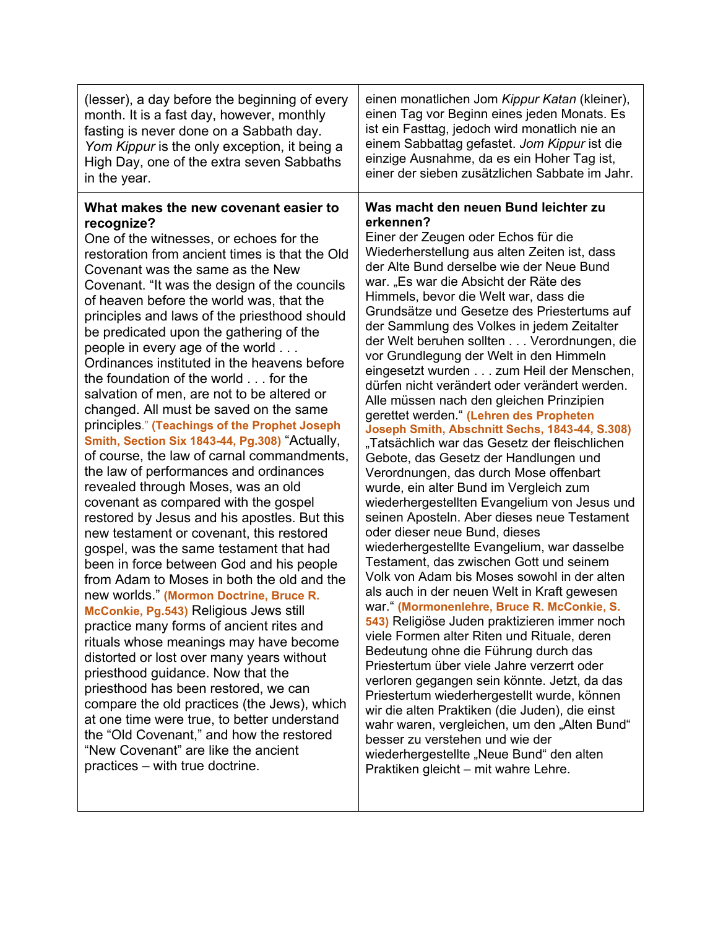| What makes the new covenant easier to<br>Was macht den neuen Bund leichter zu<br>erkennen?<br>recognize?<br>Einer der Zeugen oder Echos für die<br>One of the witnesses, or echoes for the<br>Wiederherstellung aus alten Zeiten ist, dass<br>restoration from ancient times is that the Old<br>der Alte Bund derselbe wie der Neue Bund<br>Covenant was the same as the New<br>war. "Es war die Absicht der Räte des<br>Covenant. "It was the design of the councils<br>Himmels, bevor die Welt war, dass die<br>of heaven before the world was, that the<br>Grundsätze und Gesetze des Priestertums auf<br>principles and laws of the priesthood should<br>der Sammlung des Volkes in jedem Zeitalter<br>be predicated upon the gathering of the<br>der Welt beruhen sollten Verordnungen, die<br>people in every age of the world<br>vor Grundlegung der Welt in den Himmeln<br>Ordinances instituted in the heavens before<br>eingesetzt wurden zum Heil der Menschen,<br>the foundation of the world for the<br>dürfen nicht verändert oder verändert werden.<br>salvation of men, are not to be altered or<br>Alle müssen nach den gleichen Prinzipien<br>changed. All must be saved on the same<br>gerettet werden." (Lehren des Propheten<br>principles." (Teachings of the Prophet Joseph<br>Joseph Smith, Abschnitt Sechs, 1843-44, S.308)<br>Smith, Section Six 1843-44, Pg.308) "Actually,<br>"Tatsächlich war das Gesetz der fleischlichen<br>of course, the law of carnal commandments,<br>Gebote, das Gesetz der Handlungen und<br>the law of performances and ordinances<br>Verordnungen, das durch Mose offenbart<br>revealed through Moses, was an old<br>wurde, ein alter Bund im Vergleich zum<br>covenant as compared with the gospel<br>wiederhergestellten Evangelium von Jesus und<br>seinen Aposteln. Aber dieses neue Testament<br>restored by Jesus and his apostles. But this<br>oder dieser neue Bund, dieses<br>new testament or covenant, this restored<br>wiederhergestellte Evangelium, war dasselbe<br>gospel, was the same testament that had<br>Testament, das zwischen Gott und seinem<br>been in force between God and his people<br>Volk von Adam bis Moses sowohl in der alten<br>from Adam to Moses in both the old and the<br>als auch in der neuen Welt in Kraft gewesen<br>new worlds." (Mormon Doctrine, Bruce R.<br>war." (Mormonenlehre, Bruce R. McConkie, S.<br>McConkie, Pg.543) Religious Jews still | (lesser), a day before the beginning of every<br>month. It is a fast day, however, monthly<br>fasting is never done on a Sabbath day.<br>Yom Kippur is the only exception, it being a<br>High Day, one of the extra seven Sabbaths<br>in the year. | einen monatlichen Jom Kippur Katan (kleiner),<br>einen Tag vor Beginn eines jeden Monats. Es<br>ist ein Fasttag, jedoch wird monatlich nie an<br>einem Sabbattag gefastet. Jom Kippur ist die<br>einzige Ausnahme, da es ein Hoher Tag ist,<br>einer der sieben zusätzlichen Sabbate im Jahr. |
|---------------------------------------------------------------------------------------------------------------------------------------------------------------------------------------------------------------------------------------------------------------------------------------------------------------------------------------------------------------------------------------------------------------------------------------------------------------------------------------------------------------------------------------------------------------------------------------------------------------------------------------------------------------------------------------------------------------------------------------------------------------------------------------------------------------------------------------------------------------------------------------------------------------------------------------------------------------------------------------------------------------------------------------------------------------------------------------------------------------------------------------------------------------------------------------------------------------------------------------------------------------------------------------------------------------------------------------------------------------------------------------------------------------------------------------------------------------------------------------------------------------------------------------------------------------------------------------------------------------------------------------------------------------------------------------------------------------------------------------------------------------------------------------------------------------------------------------------------------------------------------------------------------------------------------------------------------------------------------------------------------------------------------------------------------------------------------------------------------------------------------------------------------------------------------------------------------------------------------------------------------------------------------------------------------------------------------------------------------------------------------------------------------------------------------------------------------|----------------------------------------------------------------------------------------------------------------------------------------------------------------------------------------------------------------------------------------------------|-----------------------------------------------------------------------------------------------------------------------------------------------------------------------------------------------------------------------------------------------------------------------------------------------|
| practice many forms of ancient rites and<br>viele Formen alter Riten und Rituale, deren<br>rituals whose meanings may have become<br>Bedeutung ohne die Führung durch das<br>distorted or lost over many years without<br>Priestertum über viele Jahre verzerrt oder<br>priesthood guidance. Now that the<br>verloren gegangen sein könnte. Jetzt, da das<br>priesthood has been restored, we can<br>Priestertum wiederhergestellt wurde, können<br>compare the old practices (the Jews), which<br>wir die alten Praktiken (die Juden), die einst<br>at one time were true, to better understand<br>wahr waren, vergleichen, um den "Alten Bund"<br>the "Old Covenant," and how the restored<br>besser zu verstehen und wie der<br>"New Covenant" are like the ancient<br>wiederhergestellte "Neue Bund" den alten<br>practices – with true doctrine.<br>Praktiken gleicht - mit wahre Lehre.                                                                                                                                                                                                                                                                                                                                                                                                                                                                                                                                                                                                                                                                                                                                                                                                                                                                                                                                                                                                                                                                                                                                                                                                                                                                                                                                                                                                                                                                                                                                                           |                                                                                                                                                                                                                                                    | 543) Religiöse Juden praktizieren immer noch                                                                                                                                                                                                                                                  |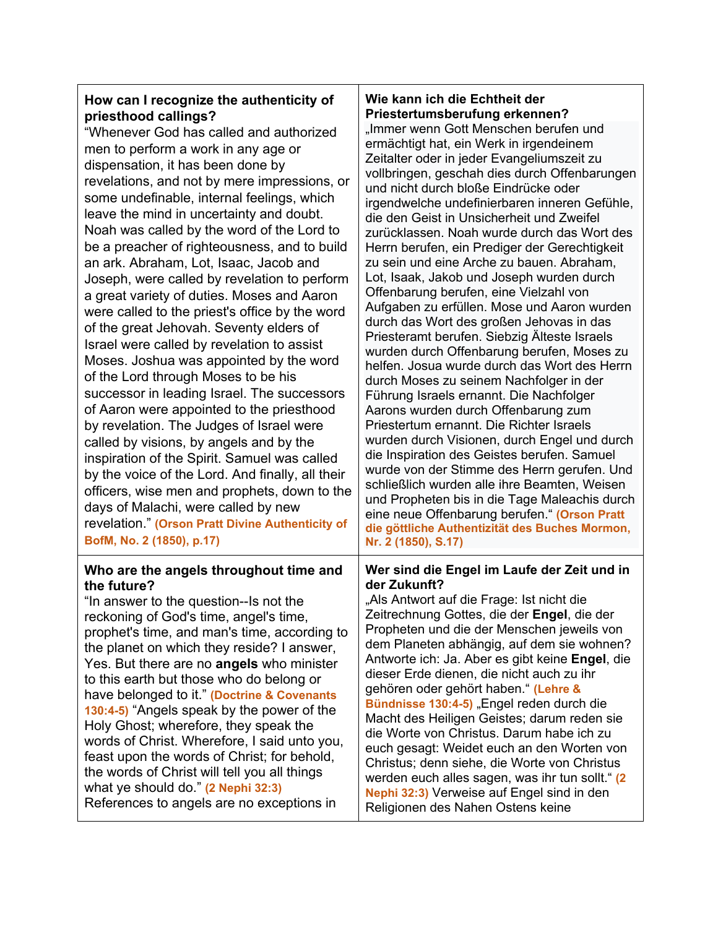## **How can I recognize the authenticity of priesthood callings?**

"Whenever God has called and authorized men to perform a work in any age or dispensation, it has been done by revelations, and not by mere impressions, or some undefinable, internal feelings, which leave the mind in uncertainty and doubt. Noah was called by the word of the Lord to be a preacher of righteousness, and to build an ark. Abraham, Lot, Isaac, Jacob and Joseph, were called by revelation to perform a great variety of duties. Moses and Aaron were called to the priest's office by the word of the great Jehovah. Seventy elders of Israel were called by revelation to assist Moses. Joshua was appointed by the word of the Lord through Moses to be his successor in leading Israel. The successors of Aaron were appointed to the priesthood by revelation. The Judges of Israel were called by visions, by angels and by the inspiration of the Spirit. Samuel was called by the voice of the Lord. And finally, all their officers, wise men and prophets, down to the days of Malachi, were called by new revelation." **(Orson Pratt Divine Authenticity of BofM, No. 2 (1850), p.17)**

#### **Who are the angels throughout time and the future?**

"In answer to the question--Is not the reckoning of God's time, angel's time, prophet's time, and man's time, according to the planet on which they reside? I answer, Yes. But there are no **angels** who minister to this earth but those who do belong or have belonged to it." **(Doctrine & Covenants 130:4-5)** "Angels speak by the power of the Holy Ghost; wherefore, they speak the words of Christ. Wherefore, I said unto you, feast upon the words of Christ; for behold, the words of Christ will tell you all things what ye should do." **(2 Nephi 32:3)** References to angels are no exceptions in

### **Wie kann ich die Echtheit der Priestertumsberufung erkennen?**

"Immer wenn Gott Menschen berufen und ermächtigt hat, ein Werk in irgendeinem Zeitalter oder in jeder Evangeliumszeit zu vollbringen, geschah dies durch Offenbarungen und nicht durch bloße Eindrücke oder irgendwelche undefinierbaren inneren Gefühle, die den Geist in Unsicherheit und Zweifel zurücklassen. Noah wurde durch das Wort des Herrn berufen, ein Prediger der Gerechtigkeit zu sein und eine Arche zu bauen. Abraham, Lot, Isaak, Jakob und Joseph wurden durch Offenbarung berufen, eine Vielzahl von Aufgaben zu erfüllen. Mose und Aaron wurden durch das Wort des großen Jehovas in das Priesteramt berufen. Siebzig Älteste Israels wurden durch Offenbarung berufen, Moses zu helfen. Josua wurde durch das Wort des Herrn durch Moses zu seinem Nachfolger in der Führung Israels ernannt. Die Nachfolger Aarons wurden durch Offenbarung zum Priestertum ernannt. Die Richter Israels wurden durch Visionen, durch Engel und durch die Inspiration des Geistes berufen. Samuel wurde von der Stimme des Herrn gerufen. Und schließlich wurden alle ihre Beamten, Weisen und Propheten bis in die Tage Maleachis durch eine neue Offenbarung berufen." **(Orson Pratt die göttliche Authentizität des Buches Mormon, Nr. 2 (1850), S.17)**

#### **Wer sind die Engel im Laufe der Zeit und in der Zukunft?**

"Als Antwort auf die Frage: Ist nicht die Zeitrechnung Gottes, die der **Engel**, die der Propheten und die der Menschen jeweils von dem Planeten abhängig, auf dem sie wohnen? Antworte ich: Ja. Aber es gibt keine **Engel**, die dieser Erde dienen, die nicht auch zu ihr gehören oder gehört haben." **(Lehre & Bündnisse 130:4-5) "Engel reden durch die** Macht des Heiligen Geistes; darum reden sie die Worte von Christus. Darum habe ich zu euch gesagt: Weidet euch an den Worten von Christus; denn siehe, die Worte von Christus werden euch alles sagen, was ihr tun sollt." **(2 Nephi 32:3)** Verweise auf Engel sind in den Religionen des Nahen Ostens keine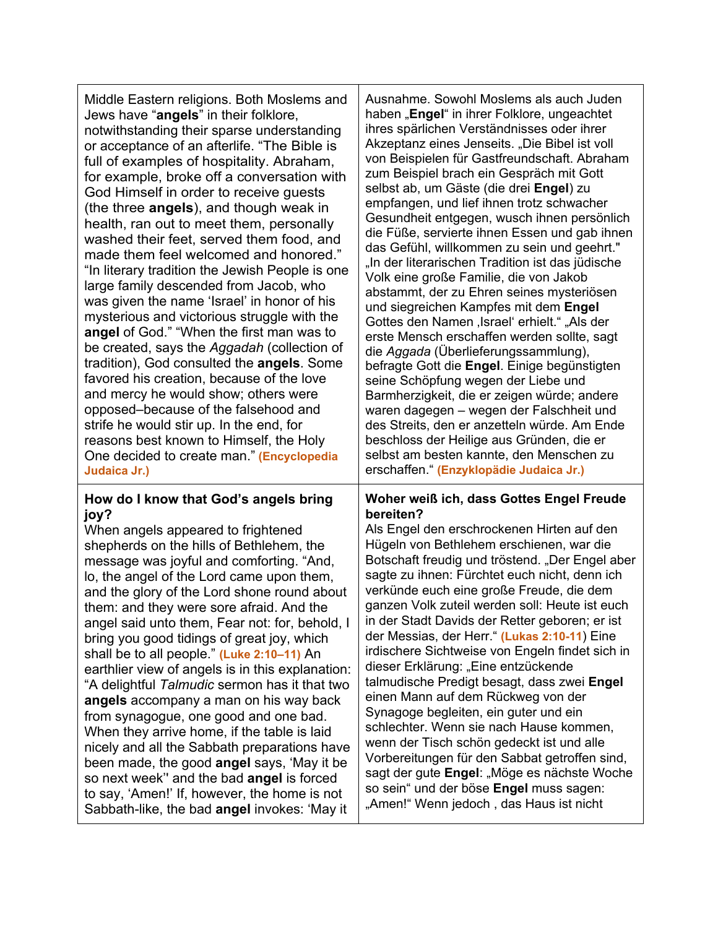| Middle Eastern religions. Both Moslems and<br>Jews have "angels" in their folklore,<br>notwithstanding their sparse understanding<br>or acceptance of an afterlife. "The Bible is<br>full of examples of hospitality. Abraham,<br>for example, broke off a conversation with<br>God Himself in order to receive guests<br>(the three <b>angels</b> ), and though weak in<br>health, ran out to meet them, personally<br>washed their feet, served them food, and<br>made them feel welcomed and honored."<br>"In literary tradition the Jewish People is one<br>large family descended from Jacob, who<br>was given the name 'Israel' in honor of his<br>mysterious and victorious struggle with the<br>angel of God." "When the first man was to<br>be created, says the Aggadah (collection of<br>tradition), God consulted the <b>angels</b> . Some<br>favored his creation, because of the love<br>and mercy he would show; others were<br>opposed-because of the falsehood and<br>strife he would stir up. In the end, for<br>reasons best known to Himself, the Holy<br>One decided to create man." (Encyclopedia<br>Judaica Jr.) | Ausnahme. Sowohl Moslems als auch Juden<br>haben "Engel" in ihrer Folklore, ungeachtet<br>ihres spärlichen Verständnisses oder ihrer<br>Akzeptanz eines Jenseits. "Die Bibel ist voll<br>von Beispielen für Gastfreundschaft. Abraham<br>zum Beispiel brach ein Gespräch mit Gott<br>selbst ab, um Gäste (die drei Engel) zu<br>empfangen, und lief ihnen trotz schwacher<br>Gesundheit entgegen, wusch ihnen persönlich<br>die Füße, servierte ihnen Essen und gab ihnen<br>das Gefühl, willkommen zu sein und geehrt."<br>"In der literarischen Tradition ist das jüdische<br>Volk eine große Familie, die von Jakob<br>abstammt, der zu Ehren seines mysteriösen<br>und siegreichen Kampfes mit dem Engel<br>Gottes den Namen, Israel' erhielt." "Als der<br>erste Mensch erschaffen werden sollte, sagt<br>die Aggada (Überlieferungssammlung),<br>befragte Gott die Engel. Einige begünstigten<br>seine Schöpfung wegen der Liebe und<br>Barmherzigkeit, die er zeigen würde; andere<br>waren dagegen – wegen der Falschheit und<br>des Streits, den er anzetteln würde. Am Ende<br>beschloss der Heilige aus Gründen, die er<br>selbst am besten kannte, den Menschen zu<br>erschaffen." (Enzyklopädie Judaica Jr.) |
|-----------------------------------------------------------------------------------------------------------------------------------------------------------------------------------------------------------------------------------------------------------------------------------------------------------------------------------------------------------------------------------------------------------------------------------------------------------------------------------------------------------------------------------------------------------------------------------------------------------------------------------------------------------------------------------------------------------------------------------------------------------------------------------------------------------------------------------------------------------------------------------------------------------------------------------------------------------------------------------------------------------------------------------------------------------------------------------------------------------------------------------------|---------------------------------------------------------------------------------------------------------------------------------------------------------------------------------------------------------------------------------------------------------------------------------------------------------------------------------------------------------------------------------------------------------------------------------------------------------------------------------------------------------------------------------------------------------------------------------------------------------------------------------------------------------------------------------------------------------------------------------------------------------------------------------------------------------------------------------------------------------------------------------------------------------------------------------------------------------------------------------------------------------------------------------------------------------------------------------------------------------------------------------------------------------------------------------------------------------------------------|
| How do I know that God's angels bring                                                                                                                                                                                                                                                                                                                                                                                                                                                                                                                                                                                                                                                                                                                                                                                                                                                                                                                                                                                                                                                                                                   | Woher weiß ich, dass Gottes Engel Freude                                                                                                                                                                                                                                                                                                                                                                                                                                                                                                                                                                                                                                                                                                                                                                                                                                                                                                                                                                                                                                                                                                                                                                                  |
| joy?                                                                                                                                                                                                                                                                                                                                                                                                                                                                                                                                                                                                                                                                                                                                                                                                                                                                                                                                                                                                                                                                                                                                    | bereiten?                                                                                                                                                                                                                                                                                                                                                                                                                                                                                                                                                                                                                                                                                                                                                                                                                                                                                                                                                                                                                                                                                                                                                                                                                 |
| When angels appeared to frightened                                                                                                                                                                                                                                                                                                                                                                                                                                                                                                                                                                                                                                                                                                                                                                                                                                                                                                                                                                                                                                                                                                      | Als Engel den erschrockenen Hirten auf den                                                                                                                                                                                                                                                                                                                                                                                                                                                                                                                                                                                                                                                                                                                                                                                                                                                                                                                                                                                                                                                                                                                                                                                |
| shepherds on the hills of Bethlehem, the                                                                                                                                                                                                                                                                                                                                                                                                                                                                                                                                                                                                                                                                                                                                                                                                                                                                                                                                                                                                                                                                                                | Hügeln von Bethlehem erschienen, war die                                                                                                                                                                                                                                                                                                                                                                                                                                                                                                                                                                                                                                                                                                                                                                                                                                                                                                                                                                                                                                                                                                                                                                                  |
| message was joyful and comforting. "And,                                                                                                                                                                                                                                                                                                                                                                                                                                                                                                                                                                                                                                                                                                                                                                                                                                                                                                                                                                                                                                                                                                | Botschaft freudig und tröstend. "Der Engel aber                                                                                                                                                                                                                                                                                                                                                                                                                                                                                                                                                                                                                                                                                                                                                                                                                                                                                                                                                                                                                                                                                                                                                                           |
| lo, the angel of the Lord came upon them,                                                                                                                                                                                                                                                                                                                                                                                                                                                                                                                                                                                                                                                                                                                                                                                                                                                                                                                                                                                                                                                                                               | sagte zu ihnen: Fürchtet euch nicht, denn ich                                                                                                                                                                                                                                                                                                                                                                                                                                                                                                                                                                                                                                                                                                                                                                                                                                                                                                                                                                                                                                                                                                                                                                             |
| and the glory of the Lord shone round about                                                                                                                                                                                                                                                                                                                                                                                                                                                                                                                                                                                                                                                                                                                                                                                                                                                                                                                                                                                                                                                                                             | verkünde euch eine große Freude, die dem                                                                                                                                                                                                                                                                                                                                                                                                                                                                                                                                                                                                                                                                                                                                                                                                                                                                                                                                                                                                                                                                                                                                                                                  |
| them: and they were sore afraid. And the                                                                                                                                                                                                                                                                                                                                                                                                                                                                                                                                                                                                                                                                                                                                                                                                                                                                                                                                                                                                                                                                                                | ganzen Volk zuteil werden soll: Heute ist euch                                                                                                                                                                                                                                                                                                                                                                                                                                                                                                                                                                                                                                                                                                                                                                                                                                                                                                                                                                                                                                                                                                                                                                            |
| angel said unto them, Fear not: for, behold, I                                                                                                                                                                                                                                                                                                                                                                                                                                                                                                                                                                                                                                                                                                                                                                                                                                                                                                                                                                                                                                                                                          | in der Stadt Davids der Retter geboren; er ist                                                                                                                                                                                                                                                                                                                                                                                                                                                                                                                                                                                                                                                                                                                                                                                                                                                                                                                                                                                                                                                                                                                                                                            |
| bring you good tidings of great joy, which                                                                                                                                                                                                                                                                                                                                                                                                                                                                                                                                                                                                                                                                                                                                                                                                                                                                                                                                                                                                                                                                                              | der Messias, der Herr." (Lukas 2:10-11) Eine                                                                                                                                                                                                                                                                                                                                                                                                                                                                                                                                                                                                                                                                                                                                                                                                                                                                                                                                                                                                                                                                                                                                                                              |
| shall be to all people." (Luke 2:10-11) An                                                                                                                                                                                                                                                                                                                                                                                                                                                                                                                                                                                                                                                                                                                                                                                                                                                                                                                                                                                                                                                                                              | irdischere Sichtweise von Engeln findet sich in                                                                                                                                                                                                                                                                                                                                                                                                                                                                                                                                                                                                                                                                                                                                                                                                                                                                                                                                                                                                                                                                                                                                                                           |
| earthlier view of angels is in this explanation:                                                                                                                                                                                                                                                                                                                                                                                                                                                                                                                                                                                                                                                                                                                                                                                                                                                                                                                                                                                                                                                                                        | dieser Erklärung: "Eine entzückende                                                                                                                                                                                                                                                                                                                                                                                                                                                                                                                                                                                                                                                                                                                                                                                                                                                                                                                                                                                                                                                                                                                                                                                       |
| "A delightful Talmudic sermon has it that two                                                                                                                                                                                                                                                                                                                                                                                                                                                                                                                                                                                                                                                                                                                                                                                                                                                                                                                                                                                                                                                                                           | talmudische Predigt besagt, dass zwei Engel                                                                                                                                                                                                                                                                                                                                                                                                                                                                                                                                                                                                                                                                                                                                                                                                                                                                                                                                                                                                                                                                                                                                                                               |
| angels accompany a man on his way back                                                                                                                                                                                                                                                                                                                                                                                                                                                                                                                                                                                                                                                                                                                                                                                                                                                                                                                                                                                                                                                                                                  | einen Mann auf dem Rückweg von der                                                                                                                                                                                                                                                                                                                                                                                                                                                                                                                                                                                                                                                                                                                                                                                                                                                                                                                                                                                                                                                                                                                                                                                        |
| from synagogue, one good and one bad.                                                                                                                                                                                                                                                                                                                                                                                                                                                                                                                                                                                                                                                                                                                                                                                                                                                                                                                                                                                                                                                                                                   | Synagoge begleiten, ein guter und ein                                                                                                                                                                                                                                                                                                                                                                                                                                                                                                                                                                                                                                                                                                                                                                                                                                                                                                                                                                                                                                                                                                                                                                                     |
| When they arrive home, if the table is laid                                                                                                                                                                                                                                                                                                                                                                                                                                                                                                                                                                                                                                                                                                                                                                                                                                                                                                                                                                                                                                                                                             | schlechter. Wenn sie nach Hause kommen,                                                                                                                                                                                                                                                                                                                                                                                                                                                                                                                                                                                                                                                                                                                                                                                                                                                                                                                                                                                                                                                                                                                                                                                   |
| nicely and all the Sabbath preparations have                                                                                                                                                                                                                                                                                                                                                                                                                                                                                                                                                                                                                                                                                                                                                                                                                                                                                                                                                                                                                                                                                            | wenn der Tisch schön gedeckt ist und alle                                                                                                                                                                                                                                                                                                                                                                                                                                                                                                                                                                                                                                                                                                                                                                                                                                                                                                                                                                                                                                                                                                                                                                                 |
| been made, the good angel says, 'May it be                                                                                                                                                                                                                                                                                                                                                                                                                                                                                                                                                                                                                                                                                                                                                                                                                                                                                                                                                                                                                                                                                              | Vorbereitungen für den Sabbat getroffen sind,                                                                                                                                                                                                                                                                                                                                                                                                                                                                                                                                                                                                                                                                                                                                                                                                                                                                                                                                                                                                                                                                                                                                                                             |
| so next week" and the bad angel is forced                                                                                                                                                                                                                                                                                                                                                                                                                                                                                                                                                                                                                                                                                                                                                                                                                                                                                                                                                                                                                                                                                               | sagt der gute Engel: "Möge es nächste Woche                                                                                                                                                                                                                                                                                                                                                                                                                                                                                                                                                                                                                                                                                                                                                                                                                                                                                                                                                                                                                                                                                                                                                                               |
| to say, 'Amen!' If, however, the home is not                                                                                                                                                                                                                                                                                                                                                                                                                                                                                                                                                                                                                                                                                                                                                                                                                                                                                                                                                                                                                                                                                            | so sein" und der böse Engel muss sagen:                                                                                                                                                                                                                                                                                                                                                                                                                                                                                                                                                                                                                                                                                                                                                                                                                                                                                                                                                                                                                                                                                                                                                                                   |
| Sabbath-like, the bad angel invokes: 'May it                                                                                                                                                                                                                                                                                                                                                                                                                                                                                                                                                                                                                                                                                                                                                                                                                                                                                                                                                                                                                                                                                            | "Amen!" Wenn jedoch, das Haus ist nicht                                                                                                                                                                                                                                                                                                                                                                                                                                                                                                                                                                                                                                                                                                                                                                                                                                                                                                                                                                                                                                                                                                                                                                                   |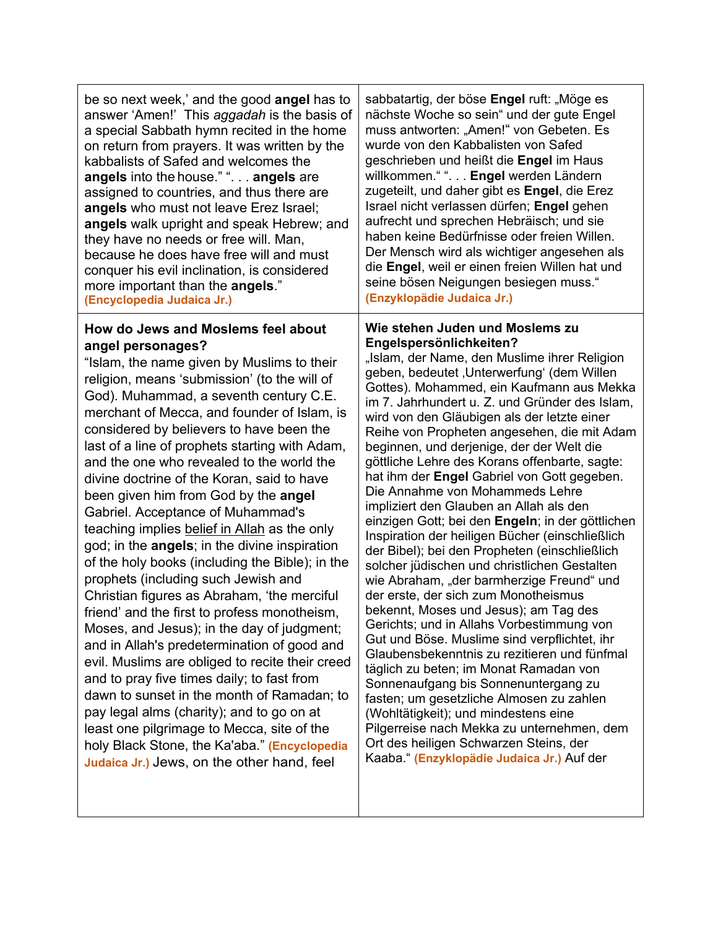be so next week,' and the good **angel** has to answer 'Amen!' This *aggadah* is the basis of a special Sabbath hymn recited in the home on return from prayers. It was written by the kabbalists of Safed and welcomes the **angels** into the house." ". . . **angels** are assigned to countries, and thus there are **angels** who must not leave Erez Israel; **angels** walk upright and speak Hebrew; and they have no needs or free will. Man, because he does have free will and must conquer his evil inclination, is considered more important than the **angels**." **(Encyclopedia Judaica Jr.)**

### **How do Jews and Moslems feel about angel personages?**

"Islam, the name given by Muslims to their religion, means 'submission' (to the will of God). Muhammad, a seventh century C.E. merchant of Mecca, and founder of Islam, is considered by believers to have been the last of a line of prophets starting with Adam, and the one who revealed to the world the divine doctrine of the Koran, said to have been given him from God by the **angel** Gabriel. Acceptance of Muhammad's teaching implies belief in Allah as the only god; in the **angels**; in the divine inspiration of the holy books (including the Bible); in the prophets (including such Jewish and Christian figures as Abraham, 'the merciful friend' and the first to profess monotheism, Moses, and Jesus); in the day of judgment; and in Allah's predetermination of good and evil. Muslims are obliged to recite their creed and to pray five times daily; to fast from dawn to sunset in the month of Ramadan; to pay legal alms (charity); and to go on at least one pilgrimage to Mecca, site of the holy Black Stone, the Ka'aba." **(Encyclopedia Judaica Jr.)** Jews, on the other hand, feel

sabbatartig, der böse **Engel** ruft: "Möge es nächste Woche so sein" und der gute Engel muss antworten: "Amen!" von Gebeten. Es wurde von den Kabbalisten von Safed geschrieben und heißt die **Engel** im Haus willkommen." ". . . **Engel** werden Ländern zugeteilt, und daher gibt es **Engel**, die Erez Israel nicht verlassen dürfen; **Engel** gehen aufrecht und sprechen Hebräisch; und sie haben keine Bedürfnisse oder freien Willen. Der Mensch wird als wichtiger angesehen als die **Engel**, weil er einen freien Willen hat und seine bösen Neigungen besiegen muss." **(Enzyklopädie Judaica Jr.)**

#### **Wie stehen Juden und Moslems zu Engelspersönlichkeiten?**

"Islam, der Name, den Muslime ihrer Religion geben, bedeutet 'Unterwerfung' (dem Willen Gottes). Mohammed, ein Kaufmann aus Mekka im 7. Jahrhundert u. Z. und Gründer des Islam, wird von den Gläubigen als der letzte einer Reihe von Propheten angesehen, die mit Adam beginnen, und derjenige, der der Welt die göttliche Lehre des Korans offenbarte, sagte: hat ihm der **Engel** Gabriel von Gott gegeben. Die Annahme von Mohammeds Lehre impliziert den Glauben an Allah als den einzigen Gott; bei den **Engeln**; in der göttlichen Inspiration der heiligen Bücher (einschließlich der Bibel); bei den Propheten (einschließlich solcher jüdischen und christlichen Gestalten wie Abraham, "der barmherzige Freund" und der erste, der sich zum Monotheismus bekennt, Moses und Jesus); am Tag des Gerichts; und in Allahs Vorbestimmung von Gut und Böse. Muslime sind verpflichtet, ihr Glaubensbekenntnis zu rezitieren und fünfmal täglich zu beten; im Monat Ramadan von Sonnenaufgang bis Sonnenuntergang zu fasten; um gesetzliche Almosen zu zahlen (Wohltätigkeit); und mindestens eine Pilgerreise nach Mekka zu unternehmen, dem Ort des heiligen Schwarzen Steins, der Kaaba." **(Enzyklopädie Judaica Jr.)** Auf der